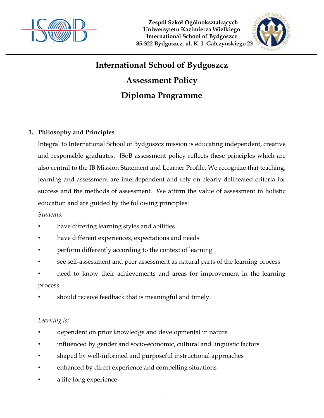

 **Zespół Szkół Ogólnokształcących Uniwersytetu Kazimierza Wielkiego International School of Bydgoszcz 85-322 Bydgoszcz, ul. K. I. Gałczyńskiego 23**



# **International School of Bydgoszcz**

## **Assessment Policy**

## **Diploma Programme**

## **1. Philosophy and Principles**

Integral to International School of Bydgoszcz mission is educating independent, creative and responsible graduates. ISoB assessment policy reflects these principles which are also central to the IB Mission Statement and Learner Profile. We recognize that teaching, learning and assessment are interdependent and rely on clearly delineated criteria for success and the methods of assessment. We affirm the value of assessment in holistic education and are guided by the following principles:

## *Students:*

- have differing learning styles and abilities
- have different experiences, expectations and needs
- perform differently according to the context of learning
- see self-assessment and peer assessment as natural parts of the learning process
- need to know their achievements and areas for improvement in the learning process
- should receive feedback that is meaningful and timely.

## *Learning is:*

- dependent on prior knowledge and developmental in nature
- influenced by gender and socio-economic, cultural and linguistic factors
- shaped by well-informed and purposeful instructional approaches
- enhanced by direct experience and compelling situations
- a life-long experience

1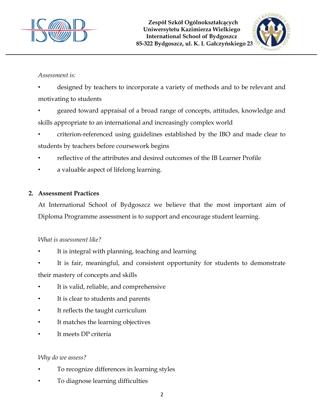



## *Assessment is:*

- designed by teachers to incorporate a variety of methods and to be relevant and motivating to students
- geared toward appraisal of a broad range of concepts, attitudes, knowledge and skills appropriate to an international and increasingly complex world
- criterion-referenced using guidelines established by the IBO and made clear to students by teachers before coursework begins
- reflective of the attributes and desired outcomes of the IB Learner Profile
- a valuable aspect of lifelong learning.

## **2. Assessment Practices**

At International School of Bydgoszcz we believe that the most important aim of Diploma Programme assessment is to support and encourage student learning.

## *What is assessment like?*

- It is integral with planning, teaching and learning
- It is fair, meaningful, and consistent opportunity for students to demonstrate their mastery of concepts and skills
- It is valid, reliable, and comprehensive
- It is clear to students and parents
- It reflects the taught curriculum
- It matches the learning objectives
- It meets DP criteria

## *Why do we assess?*

- To recognize differences in learning styles
- To diagnose learning difficulties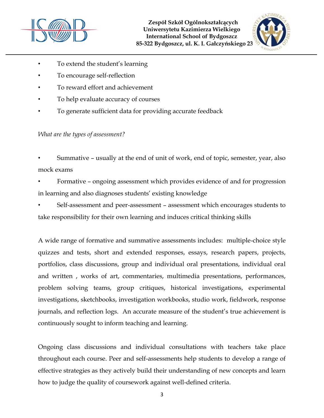



- To extend the student's learning
- To encourage self-reflection
- To reward effort and achievement
- To help evaluate accuracy of courses
- To generate sufficient data for providing accurate feedback

*What are the types of assessment?* 

• Summative – usually at the end of unit of work, end of topic, semester, year, also mock exams

• Formative – ongoing assessment which provides evidence of and for progression in learning and also diagnoses students' existing knowledge

• Self-assessment and peer-assessment – assessment which encourages students to take responsibility for their own learning and induces critical thinking skills

A wide range of formative and summative assessments includes: multiple-choice style quizzes and tests, short and extended responses, essays, research papers, projects, portfolios, class discussions, group and individual oral presentations, individual oral and written , works of art, commentaries, multimedia presentations, performances, problem solving teams, group critiques, historical investigations, experimental investigations, sketchbooks, investigation workbooks, studio work, fieldwork, response journals, and reflection logs. An accurate measure of the student's true achievement is continuously sought to inform teaching and learning.

Ongoing class discussions and individual consultations with teachers take place throughout each course. Peer and self-assessments help students to develop a range of effective strategies as they actively build their understanding of new concepts and learn how to judge the quality of coursework against well-defined criteria.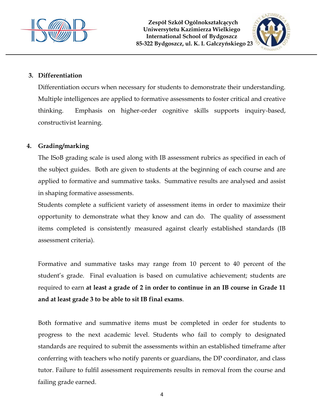



## **3. Differentiation**

Differentiation occurs when necessary for students to demonstrate their understanding. Multiple intelligences are applied to formative assessments to foster critical and creative thinking. Emphasis on higher-order cognitive skills supports inquiry-based, constructivist learning.

#### **4. Grading/marking**

The ISoB grading scale is used along with IB assessment rubrics as specified in each of the subject guides. Both are given to students at the beginning of each course and are applied to formative and summative tasks. Summative results are analysed and assist in shaping formative assessments.

Students complete a sufficient variety of assessment items in order to maximize their opportunity to demonstrate what they know and can do. The quality of assessment items completed is consistently measured against clearly established standards (IB assessment criteria).

Formative and summative tasks may range from 10 percent to 40 percent of the student's grade. Final evaluation is based on cumulative achievement; students are required to earn **at least a grade of 2 in order to continue in an IB course in Grade 11 and at least grade 3 to be able to sit IB final exams**.

Both formative and summative items must be completed in order for students to progress to the next academic level. Students who fail to comply to designated standards are required to submit the assessments within an established timeframe after conferring with teachers who notify parents or guardians, the DP coordinator, and class tutor. Failure to fulfil assessment requirements results in removal from the course and failing grade earned.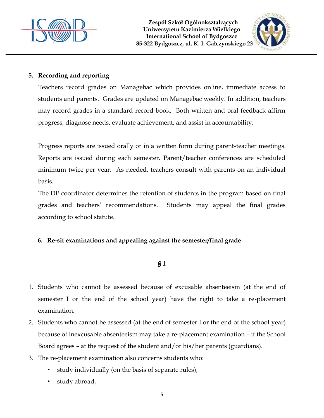



## **5. Recording and reporting**

Teachers record grades on Managebac which provides online, immediate access to students and parents. Grades are updated on Managebac weekly. In addition, teachers may record grades in a standard record book. Both written and oral feedback affirm progress, diagnose needs, evaluate achievement, and assist in accountability.

Progress reports are issued orally or in a written form during parent-teacher meetings. Reports are issued during each semester. Parent/teacher conferences are scheduled minimum twice per year. As needed, teachers consult with parents on an individual basis.

The DP coordinator determines the retention of students in the program based on final grades and teachers' recommendations. Students may appeal the final grades according to school statute.

## **6. Re-sit examinations and appealing against the semester/final grade**

## **§ 1**

- 1. Students who cannot be assessed because of excusable absenteeism (at the end of semester I or the end of the school year) have the right to take a re-placement examination.
- 2. Students who cannot be assessed (at the end of semester I or the end of the school year) because of inexcusable absenteeism may take a re-placement examination – if the School Board agrees – at the request of the student and/or his/her parents (guardians).
- 3. The re-placement examination also concerns students who:
	- study individually (on the basis of separate rules),
	- study abroad,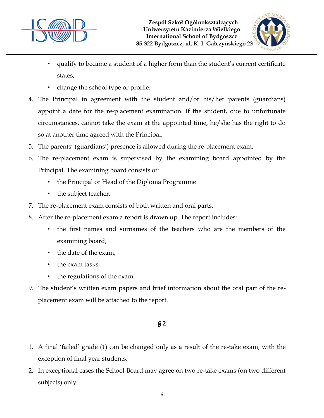



- qualify to became a student of a higher form than the student's current certificate states,
- change the school type or profile.
- 4. The Principal in agreement with the student and/or his/her parents (guardians) appoint a date for the re-placement examination. If the student, due to unfortunate circumstances, cannot take the exam at the appointed time, he/she has the right to do so at another time agreed with the Principal.
- 5. The parents' (guardians') presence is allowed during the re-placement exam.
- 6. The re-placement exam is supervised by the examining board appointed by the Principal. The examining board consists of:
	- the Principal or Head of the Diploma Programme
	- the subject teacher.
- 7. The re-placement exam consists of both written and oral parts.
- 8. After the re-placement exam a report is drawn up. The report includes:
	- the first names and surnames of the teachers who are the members of the examining board,
	- the date of the exam,
	- the exam tasks,
	- the regulations of the exam.
- 9. The student's written exam papers and brief information about the oral part of the replacement exam will be attached to the report.

## **§ 2**

- 1. A final 'failed' grade (1) can be changed only as a result of the re-take exam, with the exception of final year students.
- 2. In exceptional cases the School Board may agree on two re-take exams (on two different subjects) only.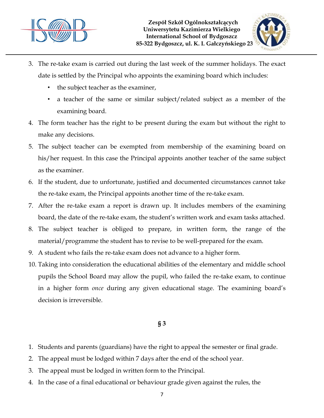



- 3. The re-take exam is carried out during the last week of the summer holidays. The exact date is settled by the Principal who appoints the examining board which includes:
	- the subject teacher as the examiner,
	- a teacher of the same or similar subject/related subject as a member of the examining board.
- 4. The form teacher has the right to be present during the exam but without the right to make any decisions.
- 5. The subject teacher can be exempted from membership of the examining board on his/her request. In this case the Principal appoints another teacher of the same subject as the examiner.
- 6. If the student, due to unfortunate, justified and documented circumstances cannot take the re-take exam, the Principal appoints another time of the re-take exam.
- 7. After the re-take exam a report is drawn up. It includes members of the examining board, the date of the re-take exam, the student's written work and exam tasks attached.
- 8. The subject teacher is obliged to prepare, in written form, the range of the material/programme the student has to revise to be well-prepared for the exam.
- 9. A student who fails the re-take exam does not advance to a higher form.
- 10. Taking into consideration the educational abilities of the elementary and middle school pupils the School Board may allow the pupil, who failed the re-take exam, to continue in a higher form *once* during any given educational stage. The examining board's decision is irreversible.

## **§ 3**

- 1. Students and parents (guardians) have the right to appeal the semester or final grade.
- 2. The appeal must be lodged within 7 days after the end of the school year.
- 3. The appeal must be lodged in written form to the Principal.
- 4. In the case of a final educational or behaviour grade given against the rules, the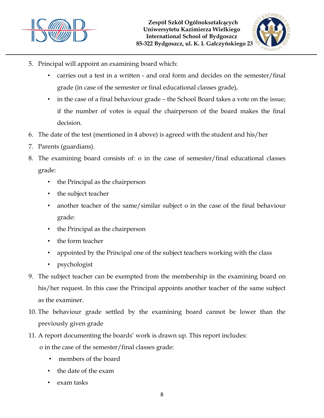



- 5. Principal will appoint an examining board which:
	- carries out a test in a written and oral form and decides on the semester/final grade (in case of the semester or final educational classes grade),
	- in the case of a final behaviour grade the School Board takes a vote on the issue; if the number of votes is equal the chairperson of the board makes the final decision.
- 6. The date of the test (mentioned in 4 above) is agreed with the student and his/her
- 7. Parents (guardians).
- 8. The examining board consists of: o in the case of semester/final educational classes grade:
	- the Principal as the chairperson
	- the subject teacher
	- another teacher of the same/similar subject o in the case of the final behaviour grade:
	- the Principal as the chairperson
	- the form teacher
	- appointed by the Principal one of the subject teachers working with the class
	- psychologist
- 9. The subject teacher can be exempted from the membership in the examining board on his/her request. In this case the Principal appoints another teacher of the same subject as the examiner.
- 10. The behaviour grade settled by the examining board cannot be lower than the previously given grade
- 11. A report documenting the boards' work is drawn up. This report includes:

o in the case of the semester/final classes grade:

- members of the board
- the date of the exam
- exam tasks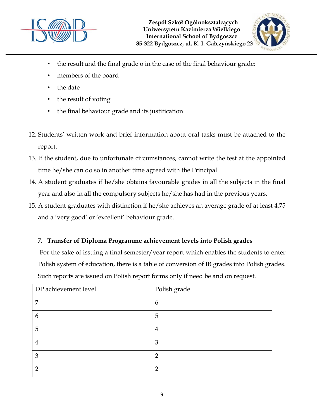



- the result and the final grade o in the case of the final behaviour grade:
- members of the board
- the date
- the result of voting
- the final behaviour grade and its justification
- 12. Students' written work and brief information about oral tasks must be attached to the report.
- 13. If the student, due to unfortunate circumstances, cannot write the test at the appointed time he/she can do so in another time agreed with the Principal
- 14. A student graduates if he/she obtains favourable grades in all the subjects in the final year and also in all the compulsory subjects he/she has had in the previous years.
- 15. A student graduates with distinction if he/she achieves an average grade of at least 4,75 and a 'very good' or 'excellent' behaviour grade.

## **7. Transfer of Diploma Programme achievement levels into Polish grades**

For the sake of issuing a final semester/year report which enables the students to enter Polish system of education, there is a table of conversion of IB grades into Polish grades. Such reports are issued on Polish report forms only if need be and on request.

| DP achievement level | Polish grade  |
|----------------------|---------------|
| 7                    | 6             |
| 6                    | 5             |
| 5                    | 4             |
| 4                    | 3             |
| 3                    | $\mathcal{D}$ |
| າ                    | റ             |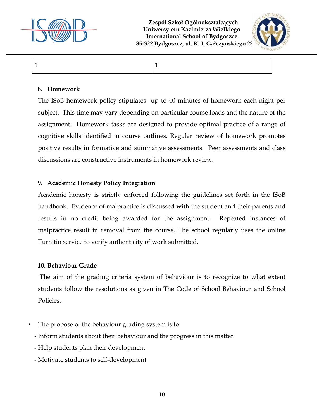

 **Zespół Szkół Ogólnokształcących Uniwersytetu Kazimierza Wielkiego International School of Bydgoszcz 85-322 Bydgoszcz, ul. K. I. Gałczyńskiego 23**



 $1 \hspace{1.5cm} |1$ 

#### **8. Homework**

The ISoB homework policy stipulates up to 40 minutes of homework each night per subject. This time may vary depending on particular course loads and the nature of the assignment. Homework tasks are designed to provide optimal practice of a range of cognitive skills identified in course outlines. Regular review of homework promotes positive results in formative and summative assessments. Peer assessments and class discussions are constructive instruments in homework review.

#### **9. Academic Honesty Policy Integration**

Academic honesty is strictly enforced following the guidelines set forth in the ISoB handbook. Evidence of malpractice is discussed with the student and their parents and results in no credit being awarded for the assignment. Repeated instances of malpractice result in removal from the course. The school regularly uses the online Turnitin service to verify authenticity of work submitted.

#### **10. Behaviour Grade**

The aim of the grading criteria system of behaviour is to recognize to what extent students follow the resolutions as given in The Code of School Behaviour and School Policies.

- The propose of the behaviour grading system is to:
	- Inform students about their behaviour and the progress in this matter
	- Help students plan their development
	- Motivate students to self-development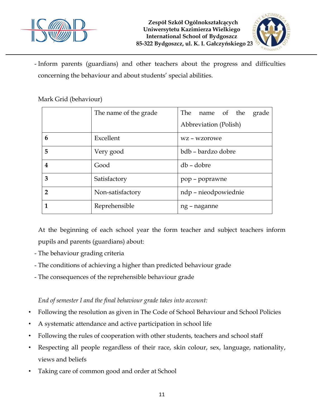



- Inform parents (guardians) and other teachers about the progress and difficulties concerning the behaviour and about students' special abilities.

|                | The name of the grade | The name of the grade |
|----------------|-----------------------|-----------------------|
|                |                       | Abbreviation (Polish) |
| 6              | Excellent             | wz – wzorowe          |
| 5              | Very good             | bdb – bardzo dobre    |
| 4              | Good                  | db - dobre            |
| 3              | Satisfactory          | pop - poprawne        |
| $\overline{2}$ | Non-satisfactory      | ndp – nieodpowiednie  |
|                | Reprehensible         | ng – naganne          |

## Mark Grid (behaviour)

At the beginning of each school year the form teacher and subject teachers inform pupils and parents (guardians) about:

- The behaviour grading criteria
- The conditions of achieving a higher than predicted behaviour grade
- The consequences of the reprehensible behaviour grade

## *End of semester I and the final behaviour grade takes into account:*

- Following the resolution as given in The Code of School Behaviour and School Policies
- A systematic attendance and active participation in school life
- Following the rules of cooperation with other students, teachers and school staff
- Respecting all people regardless of their race, skin colour, sex, language, nationality, views and beliefs
- Taking care of common good and order at School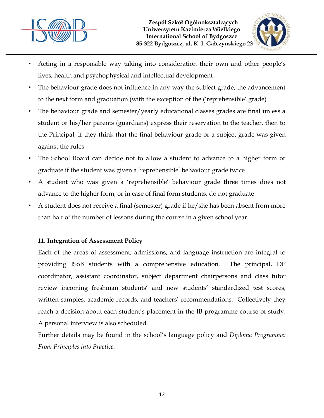



- Acting in a responsible way taking into consideration their own and other people's lives, health and psychophysical and intellectual development
- The behaviour grade does not influence in any way the subject grade, the advancement to the next form and graduation (with the exception of the ('reprehensible' grade)
- The behaviour grade and semester/yearly educational classes grades are final unless a student or his/her parents (guardians) express their reservation to the teacher, then to the Principal, if they think that the final behaviour grade or a subject grade was given against the rules
- The School Board can decide not to allow a student to advance to a higher form or graduate if the student was given a 'reprehensible' behaviour grade twice
- A student who was given a 'reprehensible' behaviour grade three times does not advance to the higher form, or in case of final form students, do not graduate
- A student does not receive a final (semester) grade if he/she has been absent from more than half of the number of lessons during the course in a given school year

## **11. Integration of Assessment Policy**

Each of the areas of assessment, admissions, and language instruction are integral to providing ISoB students with a comprehensive education. The principal, DP coordinator, assistant coordinator, subject department chairpersons and class tutor review incoming freshman students' and new students' standardized test scores, written samples, academic records, and teachers' recommendations. Collectively they reach a decision about each student's placement in the IB programme course of study. A personal interview is also scheduled.

Further details may be found in the school's language policy and *Diploma Programme: From Principles into Practice.*